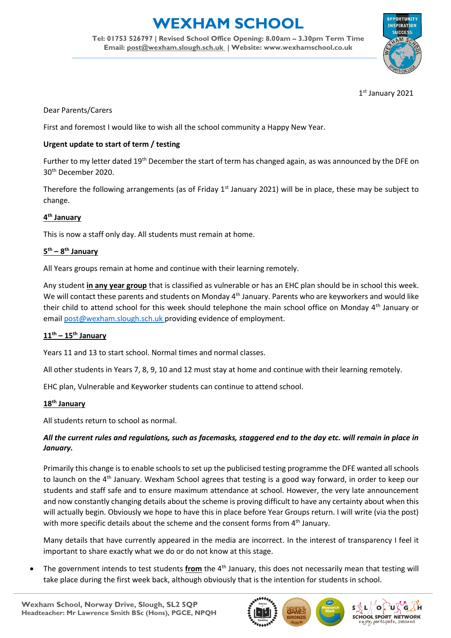# **WEXHAM SCHOOL**

**Tel: 01753 526797 | Revised School Office Opening: 8.00am – 3.30pm Term Time Email: [post@wexham.slough.sch.uk](mailto:post@wexham.slough.sch.uk) | Website: www.wexhamschool.co.uk**



1 st January 2021

# Dear Parents/Carers

First and foremost I would like to wish all the school community a Happy New Year.

#### **Urgent update to start of term / testing**

Further to my letter dated 19<sup>th</sup> December the start of term has changed again, as was announced by the DFE on 30th December 2020.

Therefore the following arrangements (as of Friday  $1<sup>st</sup>$  January 2021) will be in place, these may be subject to change.

# **4 th January**

This is now a staff only day. All students must remain at home.

# **5 th – 8 th January**

All Years groups remain at home and continue with their learning remotely.

Any student **in any year group** that is classified as vulnerable or has an EHC plan should be in school this week. We will contact these parents and students on Monday 4<sup>th</sup> January. Parents who are keyworkers and would like their child to attend school for this week should telephone the main school office on Monday 4<sup>th</sup> January or emai[l post@wexham.slough.sch.uk](mailto:post@wexham.slough.sch.uk) providing evidence of employment.

# **11th – 15th January**

Years 11 and 13 to start school. Normal times and normal classes.

All other students in Years 7, 8, 9, 10 and 12 must stay at home and continue with their learning remotely.

EHC plan, Vulnerable and Keyworker students can continue to attend school.

#### **18th January**

All students return to school as normal.

# *All the current rules and regulations, such as facemasks, staggered end to the day etc. will remain in place in January.*

Primarily this change is to enable schools to set up the publicised testing programme the DFE wanted all schools to launch on the 4<sup>th</sup> January. Wexham School agrees that testing is a good way forward, in order to keep our students and staff safe and to ensure maximum attendance at school. However, the very late announcement and now constantly changing details about the scheme is proving difficult to have any certainty about when this will actually begin. Obviously we hope to have this in place before Year Groups return. I will write (via the post) with more specific details about the scheme and the consent forms from  $4<sup>th</sup>$  January.

Many details that have currently appeared in the media are incorrect. In the interest of transparency I feel it important to share exactly what we do or do not know at this stage.

 The government intends to test students **from** the 4th January, this does not necessarily mean that testing will take place during the first week back, although obviously that is the intention for students in school.